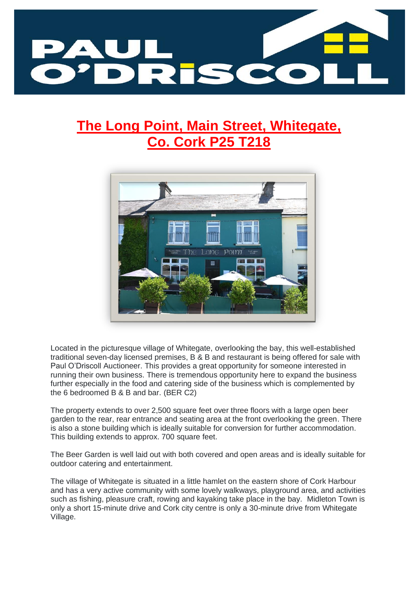

# **The Long Point, Main Street, Whitegate, Co. Cork P25 T218**



Located in the picturesque village of Whitegate, overlooking the bay, this well-established traditional seven-day licensed premises, B & B and restaurant is being offered for sale with Paul O'Driscoll Auctioneer. This provides a great opportunity for someone interested in running their own business. There is tremendous opportunity here to expand the business further especially in the food and catering side of the business which is complemented by the 6 bedroomed B & B and bar. (BER C2)

The property extends to over 2,500 square feet over three floors with a large open beer garden to the rear, rear entrance and seating area at the front overlooking the green. There is also a stone building which is ideally suitable for conversion for further accommodation. This building extends to approx. 700 square feet.

The Beer Garden is well laid out with both covered and open areas and is ideally suitable for outdoor catering and entertainment.

The village of Whitegate is situated in a little hamlet on the eastern shore of Cork Harbour and has a very active community with some lovely walkways, playground area, and activities such as fishing, pleasure craft, rowing and kayaking take place in the bay. Midleton Town is only a short 15-minute drive and Cork city centre is only a 30-minute drive from Whitegate Village.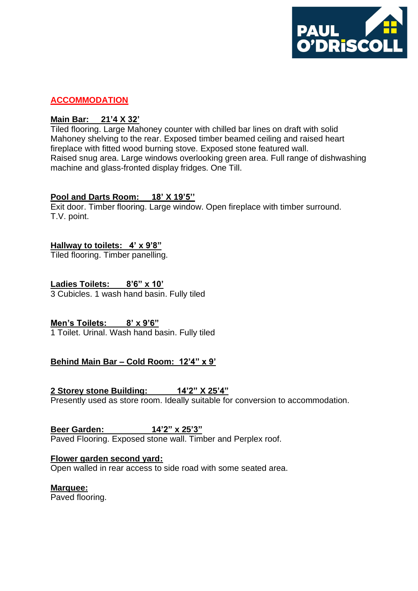

#### **ACCOMMODATION**

#### **Main Bar: 21'4 X 32'**

Tiled flooring. Large Mahoney counter with chilled bar lines on draft with solid Mahoney shelving to the rear. Exposed timber beamed ceiling and raised heart fireplace with fitted wood burning stove. Exposed stone featured wall. Raised snug area. Large windows overlooking green area. Full range of dishwashing machine and glass-fronted display fridges. One Till.

## **Pool and Darts Room: 18' X 19'5''**

Exit door. Timber flooring. Large window. Open fireplace with timber surround. T.V. point.

## **Hallway to toilets: 4' x 9'8"**

Tiled flooring. Timber panelling.

## **Ladies Toilets: 8'6" x 10'**

3 Cubicles. 1 wash hand basin. Fully tiled

**Men's Toilets: 8' x 9'6"**

1 Toilet. Urinal. Wash hand basin. Fully tiled

## **Behind Main Bar – Cold Room: 12'4" x 9'**

## **2 Storey stone Building: 14'2" X 25'4"**

Presently used as store room. Ideally suitable for conversion to accommodation.

**Beer Garden: 14'2" x 25'3"**

Paved Flooring. Exposed stone wall. Timber and Perplex roof.

## **Flower garden second yard:**

Open walled in rear access to side road with some seated area.

#### **Marquee:**

Paved flooring.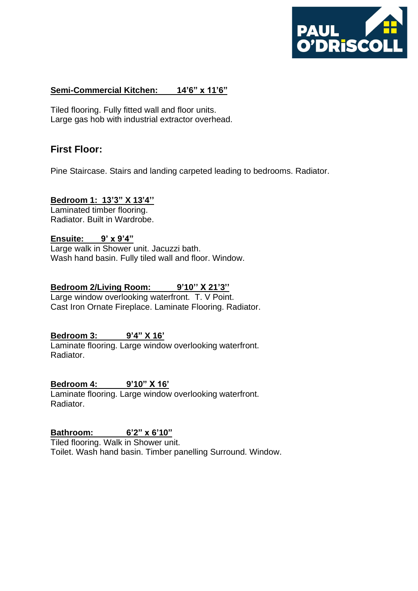

## **Semi-Commercial Kitchen: 14'6" x 11'6"**

Tiled flooring. Fully fitted wall and floor units. Large gas hob with industrial extractor overhead.

# **First Floor:**

Pine Staircase. Stairs and landing carpeted leading to bedrooms. Radiator.

#### **Bedroom 1: 13'3" X 13'4''**

Laminated timber flooring. Radiator. Built in Wardrobe.

# **Ensuite: 9' x 9'4"**

Large walk in Shower unit. Jacuzzi bath. Wash hand basin. Fully tiled wall and floor. Window.

#### **Bedroom 2/Living Room:** 9'10" X 21'3"

Large window overlooking waterfront. T. V Point. Cast Iron Ornate Fireplace. Laminate Flooring. Radiator.

## **Bedroom 3: 9'4" X 16'**

Laminate flooring. Large window overlooking waterfront. Radiator.

## **Bedroom 4: 9'10" X 16'**

Laminate flooring. Large window overlooking waterfront. Radiator.

## **Bathroom: 6'2" x 6'10"**

Tiled flooring. Walk in Shower unit.

Toilet. Wash hand basin. Timber panelling Surround. Window.